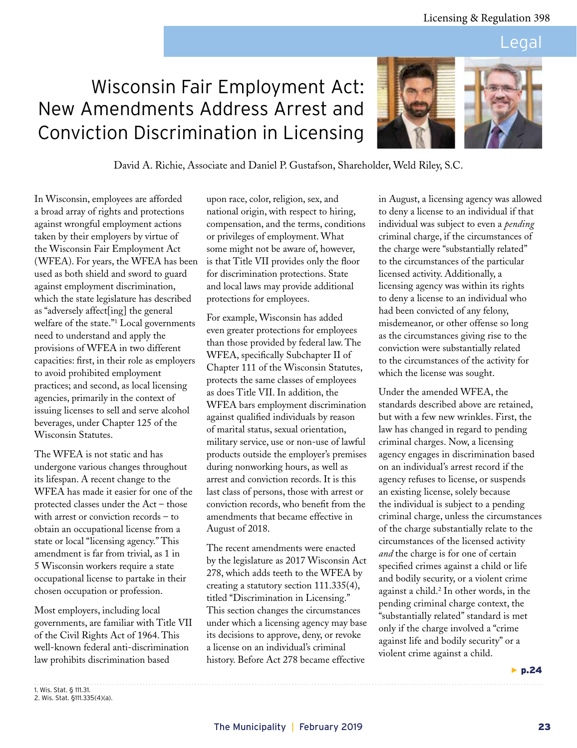The recent amendments were enacted by the legislature as 2017 Wisconsin Act 278, which adds teeth to the WFEA by creating a statutory section 111.335(4), titled "Discrimination in Licensing." This section changes the circumstances under which a licensing agency may base its decisions to approve, deny, or revoke a license on an individual's criminal history. Before Act 278 became effective

## Legal

# Wisconsin Fair Employment Act: New Amendments Address Arrest and Conviction Discrimination in Licensing

in August, a licensing agency was allowed to deny a license to an individual if that individual was subject to even a *pending* criminal charge, if the circumstances of the charge were "substantially related" to the circumstances of the particular licensed activity. Additionally, a licensing agency was within its rights to deny a license to an individual who had been convicted of any felony, misdemeanor, or other offense so long as the circumstances giving rise to the conviction were substantially related to the circumstances of the activity for which the license was sought.

Under the amended WFEA, the standards described above are retained, but with a few new wrinkles. First, the law has changed in regard to pending criminal charges. Now, a licensing agency engages in discrimination based on an individual's arrest record if the agency refuses to license, or suspends an existing license, solely because the individual is subject to a pending criminal charge, unless the circumstances of the charge substantially relate to the circumstances of the licensed activity *and* the charge is for one of certain specified crimes against a child or life and bodily security, or a violent crime against a child.2 In other words, in the pending criminal charge context, the "substantially related" standard is met only if the charge involved a "crime against life and bodily security" or a violent crime against a child.

▶ p.24

In Wisconsin, employees are afforded a broad array of rights and protections against wrongful employment actions taken by their employers by virtue of the Wisconsin Fair Employment Act (WFEA). For years, the WFEA has been used as both shield and sword to guard against employment discrimination, which the state legislature has described as "adversely affect[ing] the general welfare of the state."1 Local governments need to understand and apply the provisions of WFEA in two different capacities: first, in their role as employers to avoid prohibited employment practices; and second, as local licensing agencies, primarily in the context of issuing licenses to sell and serve alcohol beverages, under Chapter 125 of the Wisconsin Statutes.

The WFEA is not static and has undergone various changes throughout its lifespan. A recent change to the WFEA has made it easier for one of the protected classes under the Act – those with arrest or conviction records – to obtain an occupational license from a state or local "licensing agency." This amendment is far from trivial, as 1 in 5 Wisconsin workers require a state occupational license to partake in their chosen occupation or profession.

Most employers, including local governments, are familiar with Title VII of the Civil Rights Act of 1964. This well-known federal anti-discrimination law prohibits discrimination based



For example, Wisconsin has added even greater protections for employees than those provided by federal law. The WFEA, specifically Subchapter II of Chapter 111 of the Wisconsin Statutes, protects the same classes of employees as does Title VII. In addition, the WFEA bars employment discrimination against qualified individuals by reason of marital status, sexual orientation, military service, use or non-use of lawful products outside the employer's premises during nonworking hours, as well as arrest and conviction records. It is this last class of persons, those with arrest or conviction records, who benefit from the amendments that became effective in

August of 2018.



David A. Richie, Associate and Daniel P. Gustafson, Shareholder, Weld Riley, S.C.

<sup>1.</sup> Wis. Stat. § 111.31. 2. Wis. Stat. §111.335(4)(a).